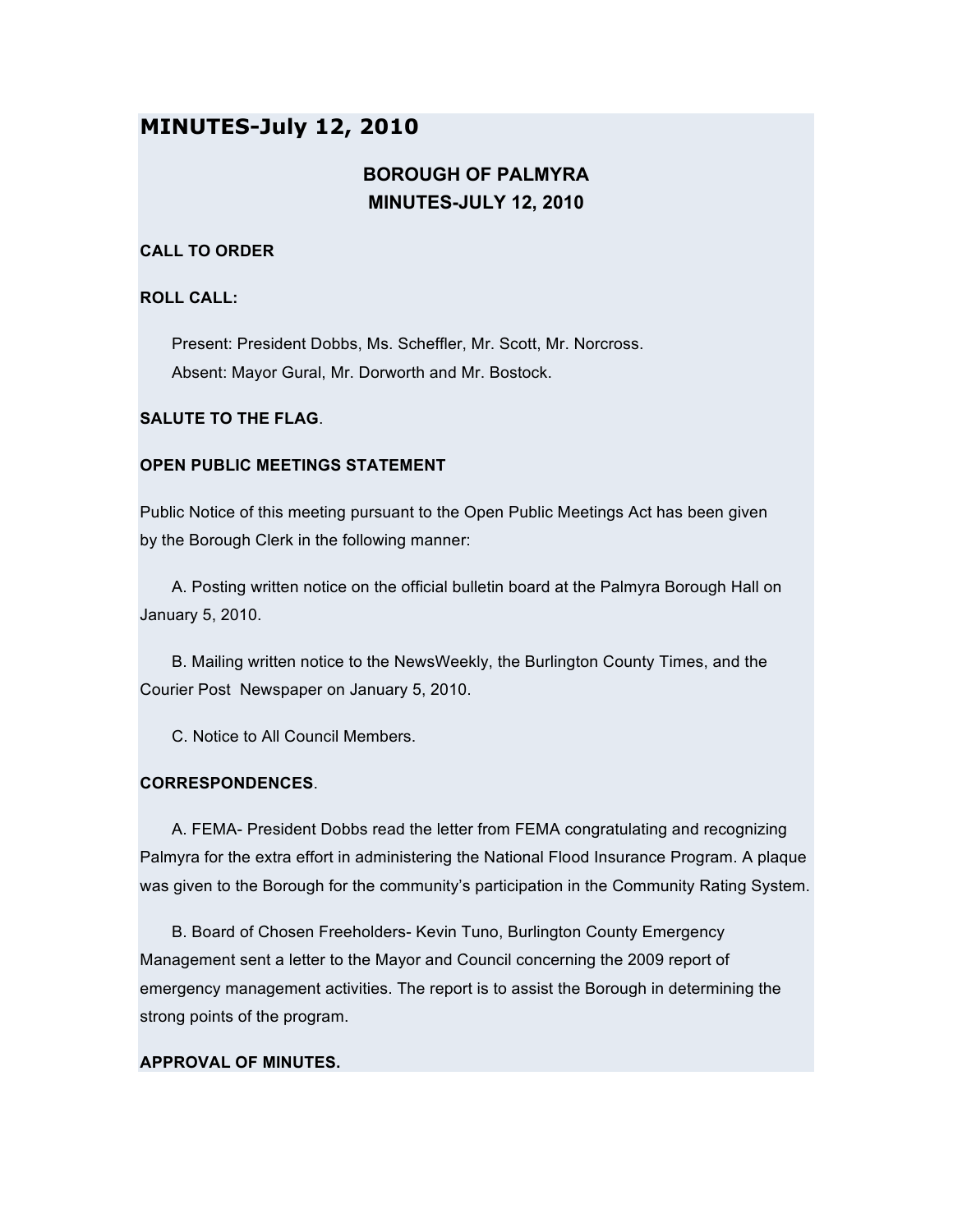# **MINUTES-July 12, 2010**

# **BOROUGH OF PALMYRA MINUTES-JULY 12, 2010**

## **CALL TO ORDER**

## **ROLL CALL:**

Present: President Dobbs, Ms. Scheffler, Mr. Scott, Mr. Norcross. Absent: Mayor Gural, Mr. Dorworth and Mr. Bostock.

## **SALUTE TO THE FLAG**.

## **OPEN PUBLIC MEETINGS STATEMENT**

Public Notice of this meeting pursuant to the Open Public Meetings Act has been given by the Borough Clerk in the following manner:

A. Posting written notice on the official bulletin board at the Palmyra Borough Hall on January 5, 2010.

B. Mailing written notice to the NewsWeekly, the Burlington County Times, and the Courier Post Newspaper on January 5, 2010.

C. Notice to All Council Members.

## **CORRESPONDENCES**.

A. FEMA- President Dobbs read the letter from FEMA congratulating and recognizing Palmyra for the extra effort in administering the National Flood Insurance Program. A plaque was given to the Borough for the community's participation in the Community Rating System.

B. Board of Chosen Freeholders- Kevin Tuno, Burlington County Emergency Management sent a letter to the Mayor and Council concerning the 2009 report of emergency management activities. The report is to assist the Borough in determining the strong points of the program.

## **APPROVAL OF MINUTES.**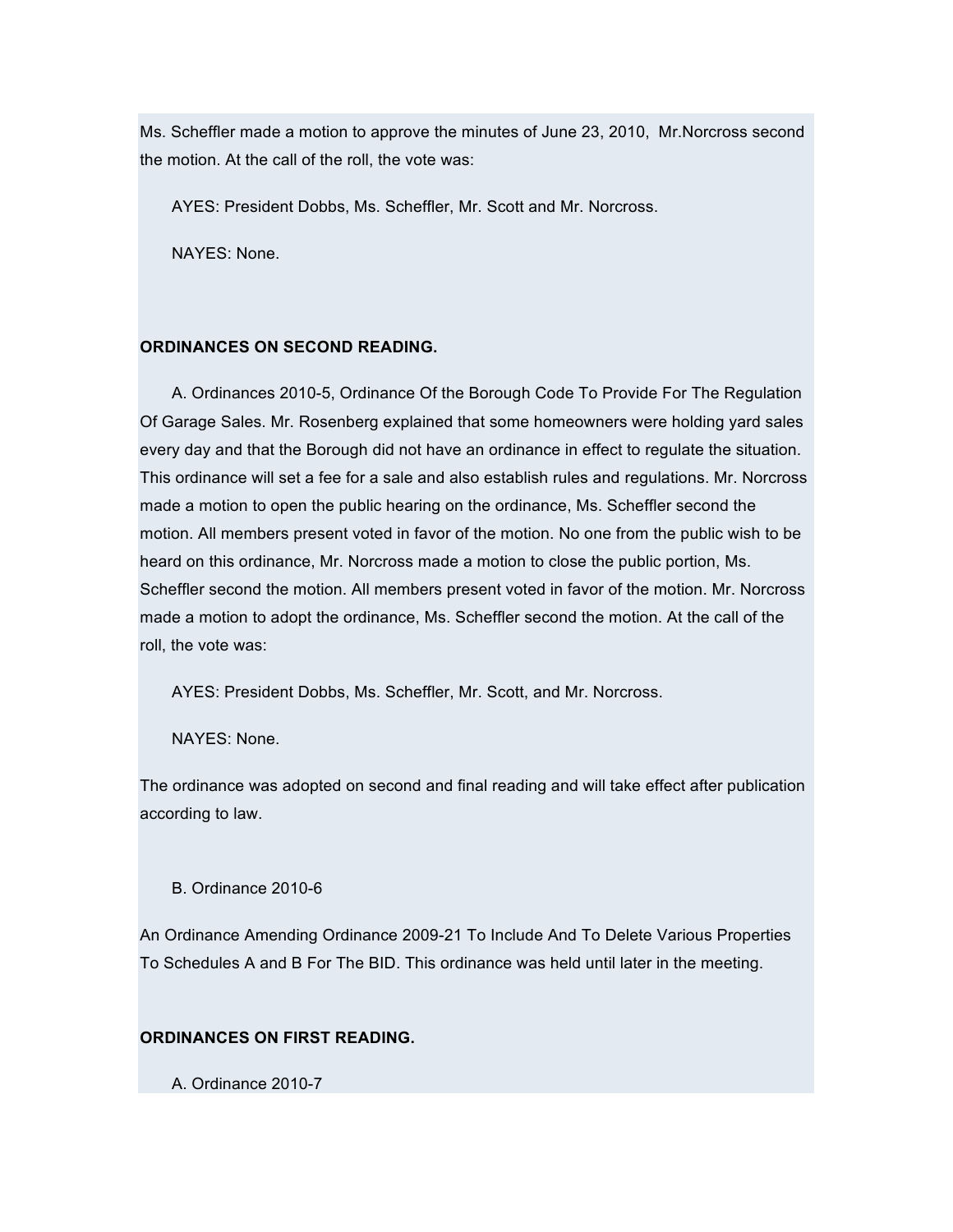Ms. Scheffler made a motion to approve the minutes of June 23, 2010, Mr.Norcross second the motion. At the call of the roll, the vote was:

AYES: President Dobbs, Ms. Scheffler, Mr. Scott and Mr. Norcross.

NAYES: None.

## **ORDINANCES ON SECOND READING.**

A. Ordinances 2010-5, Ordinance Of the Borough Code To Provide For The Regulation Of Garage Sales. Mr. Rosenberg explained that some homeowners were holding yard sales every day and that the Borough did not have an ordinance in effect to regulate the situation. This ordinance will set a fee for a sale and also establish rules and regulations. Mr. Norcross made a motion to open the public hearing on the ordinance, Ms. Scheffler second the motion. All members present voted in favor of the motion. No one from the public wish to be heard on this ordinance, Mr. Norcross made a motion to close the public portion, Ms. Scheffler second the motion. All members present voted in favor of the motion. Mr. Norcross made a motion to adopt the ordinance, Ms. Scheffler second the motion. At the call of the roll, the vote was:

AYES: President Dobbs, Ms. Scheffler, Mr. Scott, and Mr. Norcross.

NAYES: None.

The ordinance was adopted on second and final reading and will take effect after publication according to law.

#### B. Ordinance 2010-6

An Ordinance Amending Ordinance 2009-21 To Include And To Delete Various Properties To Schedules A and B For The BID. This ordinance was held until later in the meeting.

## **ORDINANCES ON FIRST READING.**

A. Ordinance 2010-7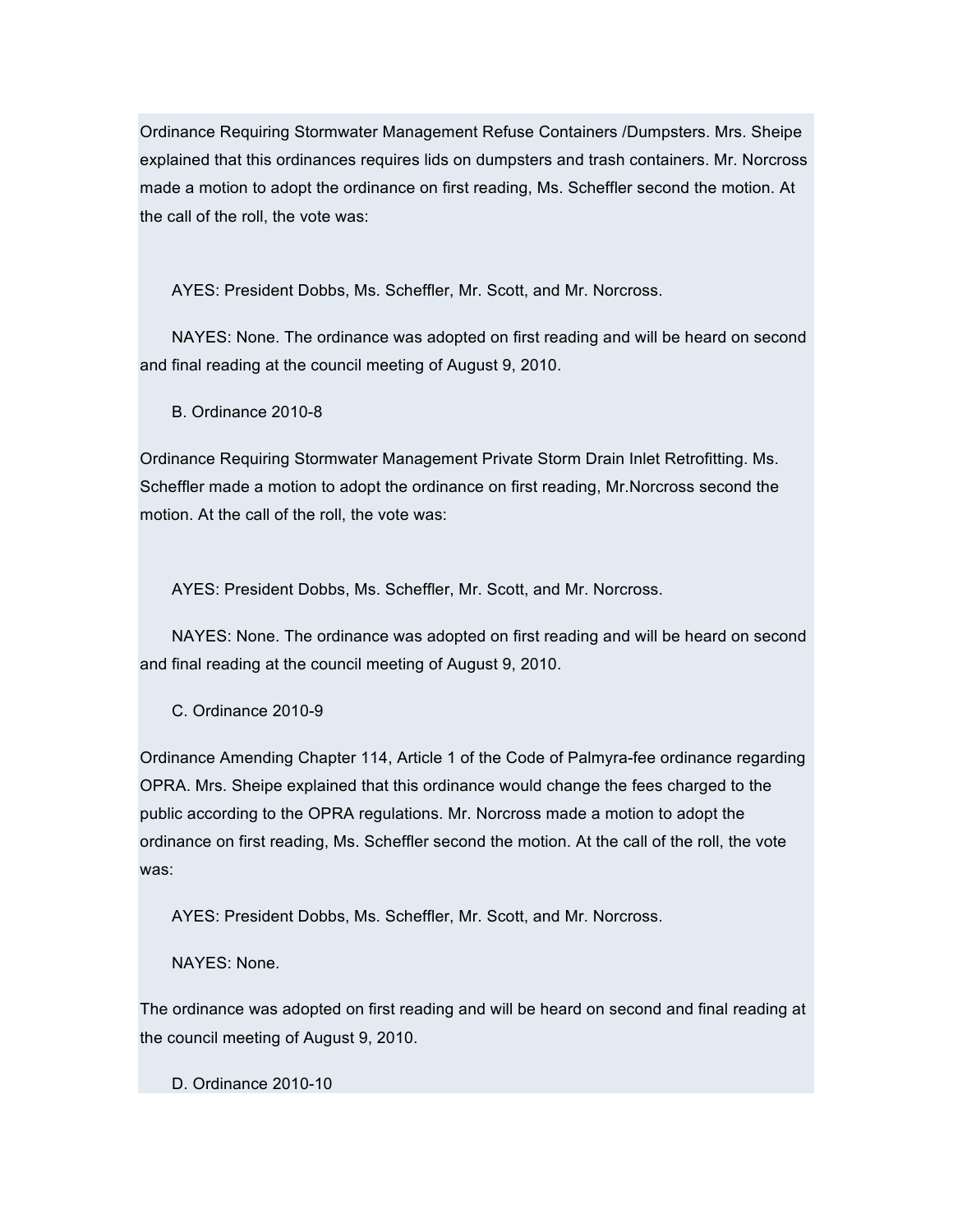Ordinance Requiring Stormwater Management Refuse Containers /Dumpsters. Mrs. Sheipe explained that this ordinances requires lids on dumpsters and trash containers. Mr. Norcross made a motion to adopt the ordinance on first reading, Ms. Scheffler second the motion. At the call of the roll, the vote was:

AYES: President Dobbs, Ms. Scheffler, Mr. Scott, and Mr. Norcross.

NAYES: None. The ordinance was adopted on first reading and will be heard on second and final reading at the council meeting of August 9, 2010.

B. Ordinance 2010-8

Ordinance Requiring Stormwater Management Private Storm Drain Inlet Retrofitting. Ms. Scheffler made a motion to adopt the ordinance on first reading, Mr.Norcross second the motion. At the call of the roll, the vote was:

AYES: President Dobbs, Ms. Scheffler, Mr. Scott, and Mr. Norcross.

NAYES: None. The ordinance was adopted on first reading and will be heard on second and final reading at the council meeting of August 9, 2010.

C. Ordinance 2010-9

Ordinance Amending Chapter 114, Article 1 of the Code of Palmyra-fee ordinance regarding OPRA. Mrs. Sheipe explained that this ordinance would change the fees charged to the public according to the OPRA regulations. Mr. Norcross made a motion to adopt the ordinance on first reading, Ms. Scheffler second the motion. At the call of the roll, the vote was:

AYES: President Dobbs, Ms. Scheffler, Mr. Scott, and Mr. Norcross.

NAYES: None.

The ordinance was adopted on first reading and will be heard on second and final reading at the council meeting of August 9, 2010.

D. Ordinance 2010-10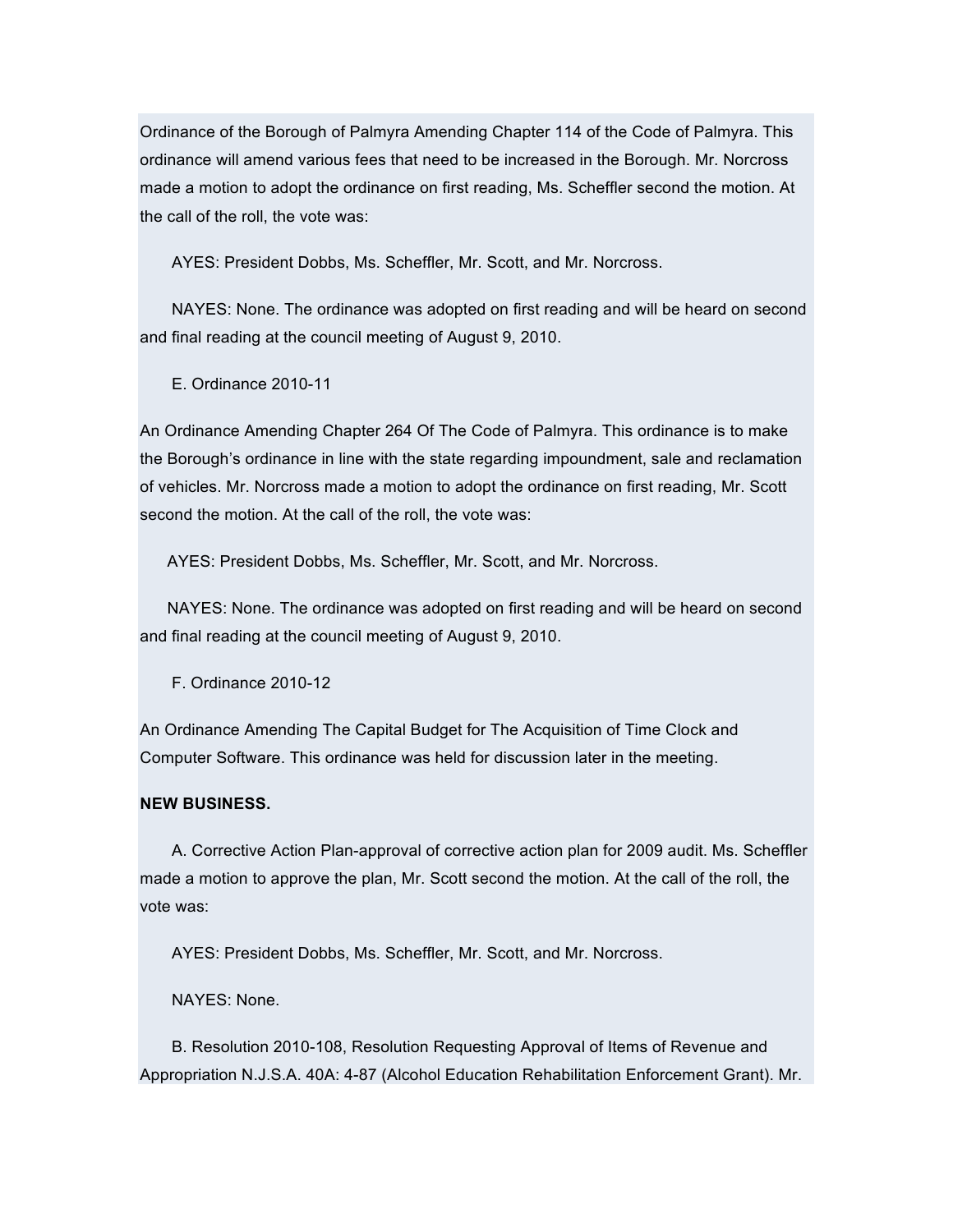Ordinance of the Borough of Palmyra Amending Chapter 114 of the Code of Palmyra. This ordinance will amend various fees that need to be increased in the Borough. Mr. Norcross made a motion to adopt the ordinance on first reading, Ms. Scheffler second the motion. At the call of the roll, the vote was:

AYES: President Dobbs, Ms. Scheffler, Mr. Scott, and Mr. Norcross.

NAYES: None. The ordinance was adopted on first reading and will be heard on second and final reading at the council meeting of August 9, 2010.

E. Ordinance 2010-11

An Ordinance Amending Chapter 264 Of The Code of Palmyra. This ordinance is to make the Borough's ordinance in line with the state regarding impoundment, sale and reclamation of vehicles. Mr. Norcross made a motion to adopt the ordinance on first reading, Mr. Scott second the motion. At the call of the roll, the vote was:

AYES: President Dobbs, Ms. Scheffler, Mr. Scott, and Mr. Norcross.

NAYES: None. The ordinance was adopted on first reading and will be heard on second and final reading at the council meeting of August 9, 2010.

F. Ordinance 2010-12

An Ordinance Amending The Capital Budget for The Acquisition of Time Clock and Computer Software. This ordinance was held for discussion later in the meeting.

#### **NEW BUSINESS.**

A. Corrective Action Plan-approval of corrective action plan for 2009 audit. Ms. Scheffler made a motion to approve the plan, Mr. Scott second the motion. At the call of the roll, the vote was:

AYES: President Dobbs, Ms. Scheffler, Mr. Scott, and Mr. Norcross.

NAYES: None.

B. Resolution 2010-108, Resolution Requesting Approval of Items of Revenue and Appropriation N.J.S.A. 40A: 4-87 (Alcohol Education Rehabilitation Enforcement Grant). Mr.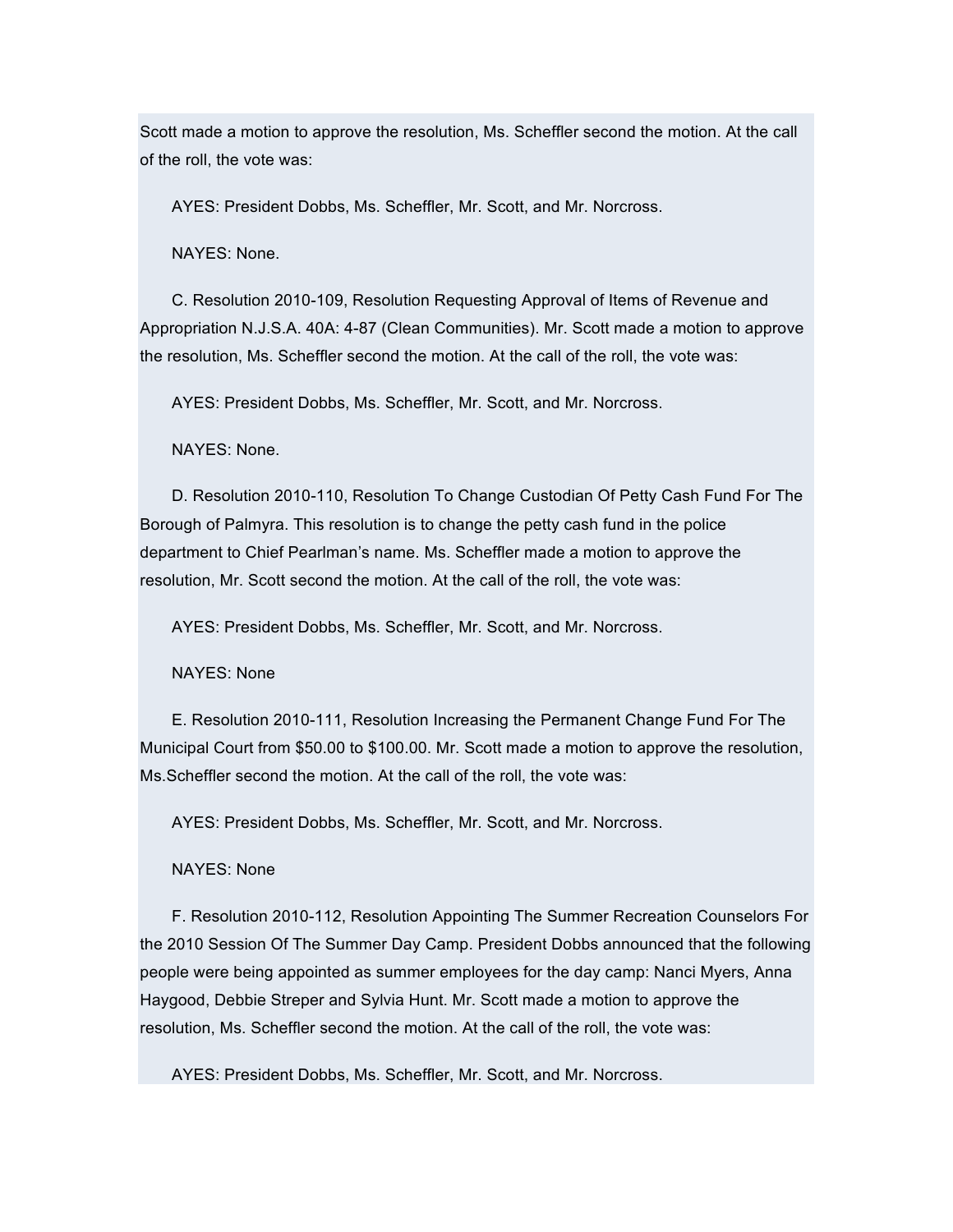Scott made a motion to approve the resolution, Ms. Scheffler second the motion. At the call of the roll, the vote was:

AYES: President Dobbs, Ms. Scheffler, Mr. Scott, and Mr. Norcross.

NAYES: None.

C. Resolution 2010-109, Resolution Requesting Approval of Items of Revenue and Appropriation N.J.S.A. 40A: 4-87 (Clean Communities). Mr. Scott made a motion to approve the resolution, Ms. Scheffler second the motion. At the call of the roll, the vote was:

AYES: President Dobbs, Ms. Scheffler, Mr. Scott, and Mr. Norcross.

NAYES: None.

D. Resolution 2010-110, Resolution To Change Custodian Of Petty Cash Fund For The Borough of Palmyra. This resolution is to change the petty cash fund in the police department to Chief Pearlman's name. Ms. Scheffler made a motion to approve the resolution, Mr. Scott second the motion. At the call of the roll, the vote was:

AYES: President Dobbs, Ms. Scheffler, Mr. Scott, and Mr. Norcross.

NAYES: None

E. Resolution 2010-111, Resolution Increasing the Permanent Change Fund For The Municipal Court from \$50.00 to \$100.00. Mr. Scott made a motion to approve the resolution, Ms.Scheffler second the motion. At the call of the roll, the vote was:

AYES: President Dobbs, Ms. Scheffler, Mr. Scott, and Mr. Norcross.

NAYES: None

F. Resolution 2010-112, Resolution Appointing The Summer Recreation Counselors For the 2010 Session Of The Summer Day Camp. President Dobbs announced that the following people were being appointed as summer employees for the day camp: Nanci Myers, Anna Haygood, Debbie Streper and Sylvia Hunt. Mr. Scott made a motion to approve the resolution, Ms. Scheffler second the motion. At the call of the roll, the vote was:

AYES: President Dobbs, Ms. Scheffler, Mr. Scott, and Mr. Norcross.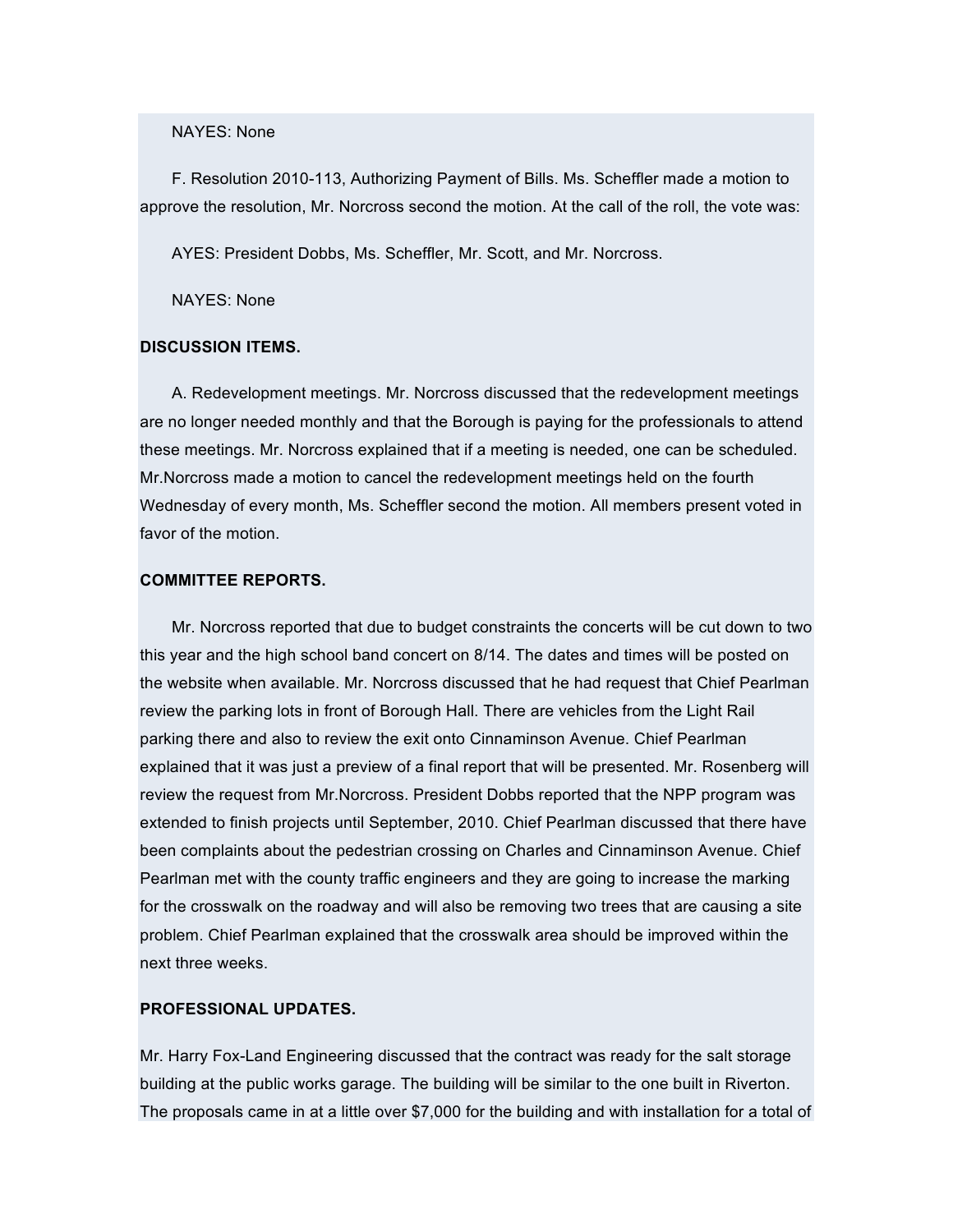### NAYES: None

F. Resolution 2010-113, Authorizing Payment of Bills. Ms. Scheffler made a motion to approve the resolution, Mr. Norcross second the motion. At the call of the roll, the vote was:

AYES: President Dobbs, Ms. Scheffler, Mr. Scott, and Mr. Norcross.

NAYES: None

#### **DISCUSSION ITEMS.**

A. Redevelopment meetings. Mr. Norcross discussed that the redevelopment meetings are no longer needed monthly and that the Borough is paying for the professionals to attend these meetings. Mr. Norcross explained that if a meeting is needed, one can be scheduled. Mr.Norcross made a motion to cancel the redevelopment meetings held on the fourth Wednesday of every month, Ms. Scheffler second the motion. All members present voted in favor of the motion.

#### **COMMITTEE REPORTS.**

Mr. Norcross reported that due to budget constraints the concerts will be cut down to two this year and the high school band concert on 8/14. The dates and times will be posted on the website when available. Mr. Norcross discussed that he had request that Chief Pearlman review the parking lots in front of Borough Hall. There are vehicles from the Light Rail parking there and also to review the exit onto Cinnaminson Avenue. Chief Pearlman explained that it was just a preview of a final report that will be presented. Mr. Rosenberg will review the request from Mr.Norcross. President Dobbs reported that the NPP program was extended to finish projects until September, 2010. Chief Pearlman discussed that there have been complaints about the pedestrian crossing on Charles and Cinnaminson Avenue. Chief Pearlman met with the county traffic engineers and they are going to increase the marking for the crosswalk on the roadway and will also be removing two trees that are causing a site problem. Chief Pearlman explained that the crosswalk area should be improved within the next three weeks.

## **PROFESSIONAL UPDATES.**

Mr. Harry Fox-Land Engineering discussed that the contract was ready for the salt storage building at the public works garage. The building will be similar to the one built in Riverton. The proposals came in at a little over \$7,000 for the building and with installation for a total of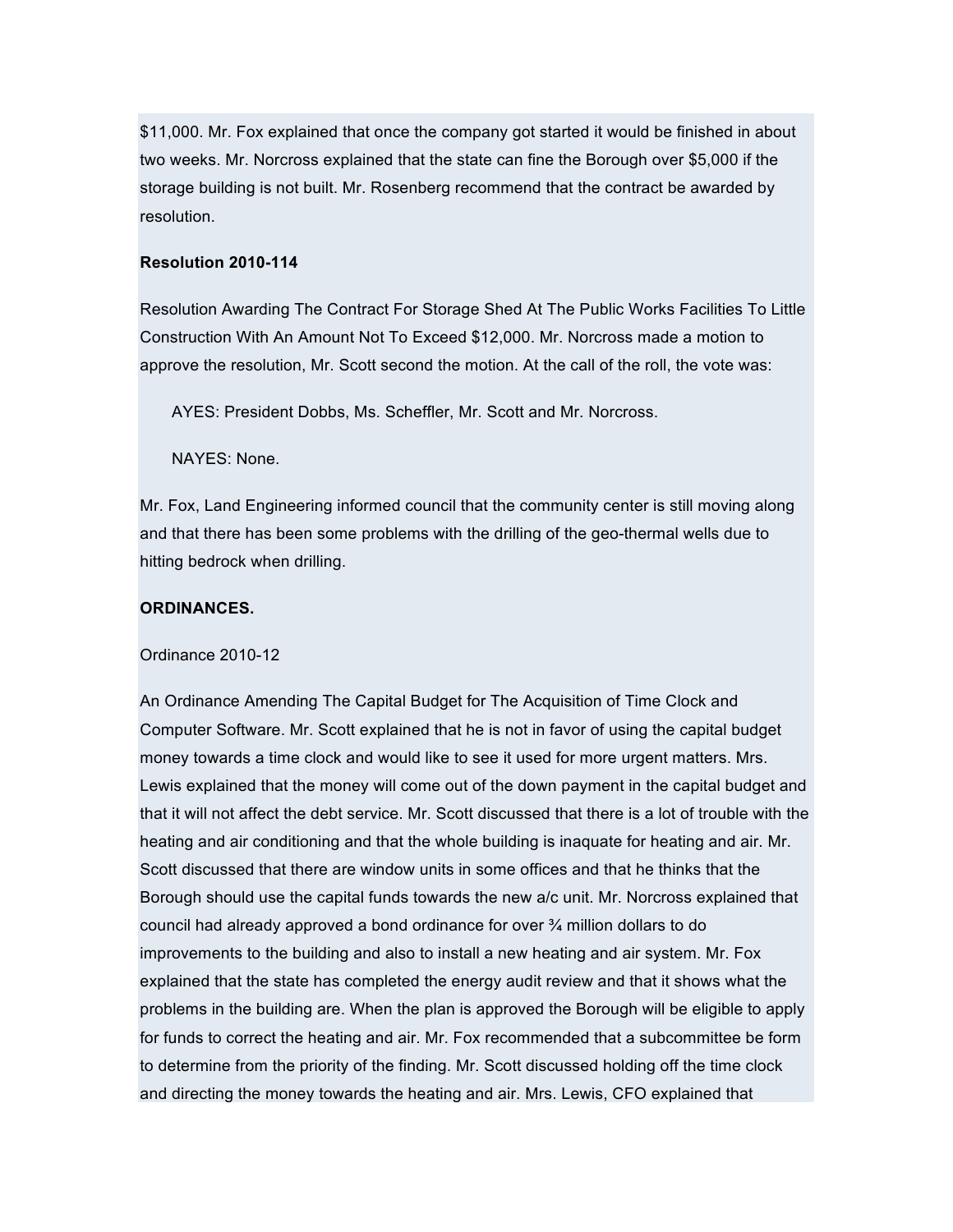\$11,000. Mr. Fox explained that once the company got started it would be finished in about two weeks. Mr. Norcross explained that the state can fine the Borough over \$5,000 if the storage building is not built. Mr. Rosenberg recommend that the contract be awarded by resolution.

### **Resolution 2010-114**

Resolution Awarding The Contract For Storage Shed At The Public Works Facilities To Little Construction With An Amount Not To Exceed \$12,000. Mr. Norcross made a motion to approve the resolution, Mr. Scott second the motion. At the call of the roll, the vote was:

AYES: President Dobbs, Ms. Scheffler, Mr. Scott and Mr. Norcross.

NAYES: None.

Mr. Fox, Land Engineering informed council that the community center is still moving along and that there has been some problems with the drilling of the geo-thermal wells due to hitting bedrock when drilling.

## **ORDINANCES.**

#### Ordinance 2010-12

An Ordinance Amending The Capital Budget for The Acquisition of Time Clock and Computer Software. Mr. Scott explained that he is not in favor of using the capital budget money towards a time clock and would like to see it used for more urgent matters. Mrs. Lewis explained that the money will come out of the down payment in the capital budget and that it will not affect the debt service. Mr. Scott discussed that there is a lot of trouble with the heating and air conditioning and that the whole building is inaquate for heating and air. Mr. Scott discussed that there are window units in some offices and that he thinks that the Borough should use the capital funds towards the new a/c unit. Mr. Norcross explained that council had already approved a bond ordinance for over  $\frac{3}{4}$  million dollars to do improvements to the building and also to install a new heating and air system. Mr. Fox explained that the state has completed the energy audit review and that it shows what the problems in the building are. When the plan is approved the Borough will be eligible to apply for funds to correct the heating and air. Mr. Fox recommended that a subcommittee be form to determine from the priority of the finding. Mr. Scott discussed holding off the time clock and directing the money towards the heating and air. Mrs. Lewis, CFO explained that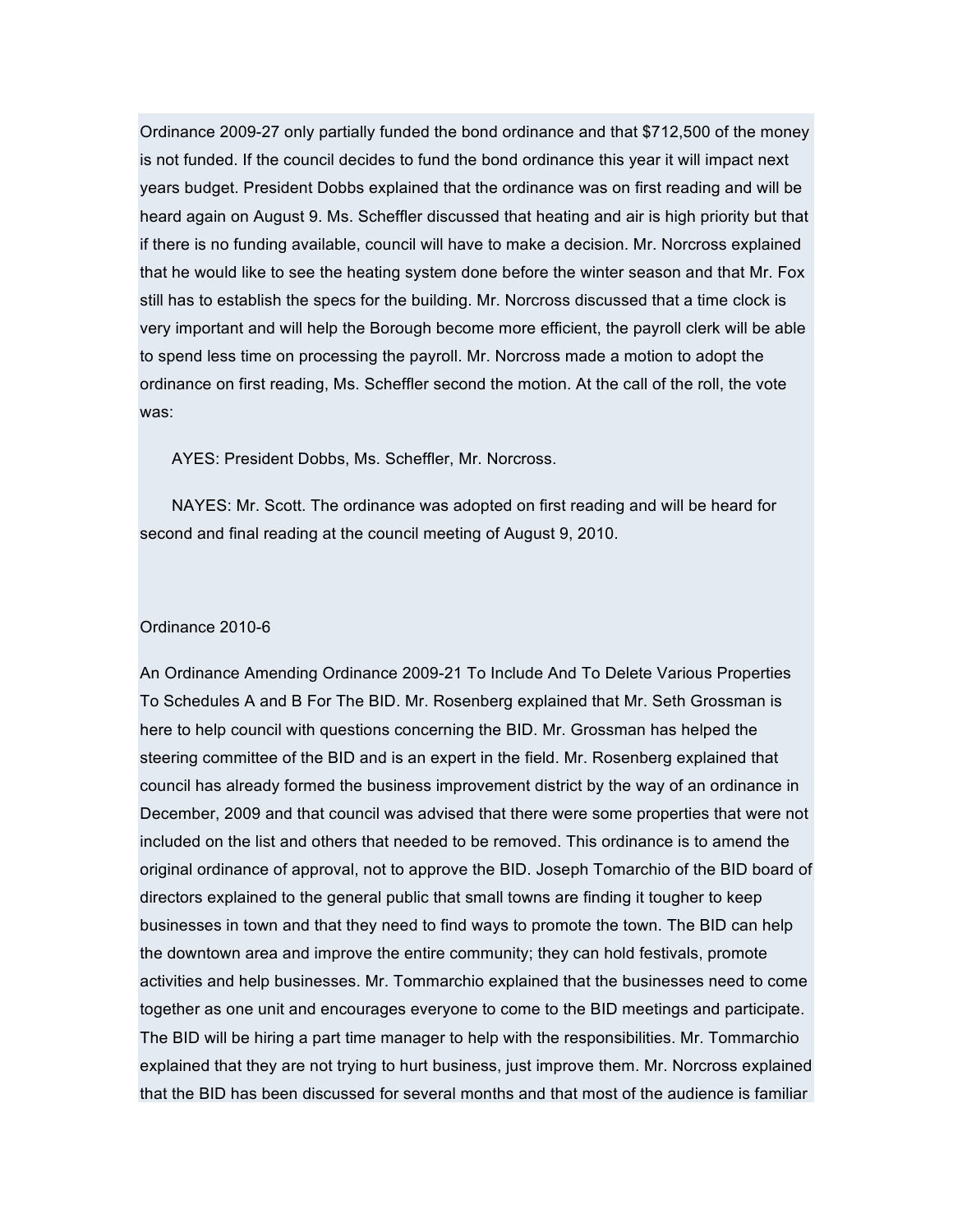Ordinance 2009-27 only partially funded the bond ordinance and that \$712,500 of the money is not funded. If the council decides to fund the bond ordinance this year it will impact next years budget. President Dobbs explained that the ordinance was on first reading and will be heard again on August 9. Ms. Scheffler discussed that heating and air is high priority but that if there is no funding available, council will have to make a decision. Mr. Norcross explained that he would like to see the heating system done before the winter season and that Mr. Fox still has to establish the specs for the building. Mr. Norcross discussed that a time clock is very important and will help the Borough become more efficient, the payroll clerk will be able to spend less time on processing the payroll. Mr. Norcross made a motion to adopt the ordinance on first reading, Ms. Scheffler second the motion. At the call of the roll, the vote was:

AYES: President Dobbs, Ms. Scheffler, Mr. Norcross.

NAYES: Mr. Scott. The ordinance was adopted on first reading and will be heard for second and final reading at the council meeting of August 9, 2010.

#### Ordinance 2010-6

An Ordinance Amending Ordinance 2009-21 To Include And To Delete Various Properties To Schedules A and B For The BID. Mr. Rosenberg explained that Mr. Seth Grossman is here to help council with questions concerning the BID. Mr. Grossman has helped the steering committee of the BID and is an expert in the field. Mr. Rosenberg explained that council has already formed the business improvement district by the way of an ordinance in December, 2009 and that council was advised that there were some properties that were not included on the list and others that needed to be removed. This ordinance is to amend the original ordinance of approval, not to approve the BID. Joseph Tomarchio of the BID board of directors explained to the general public that small towns are finding it tougher to keep businesses in town and that they need to find ways to promote the town. The BID can help the downtown area and improve the entire community; they can hold festivals, promote activities and help businesses. Mr. Tommarchio explained that the businesses need to come together as one unit and encourages everyone to come to the BID meetings and participate. The BID will be hiring a part time manager to help with the responsibilities. Mr. Tommarchio explained that they are not trying to hurt business, just improve them. Mr. Norcross explained that the BID has been discussed for several months and that most of the audience is familiar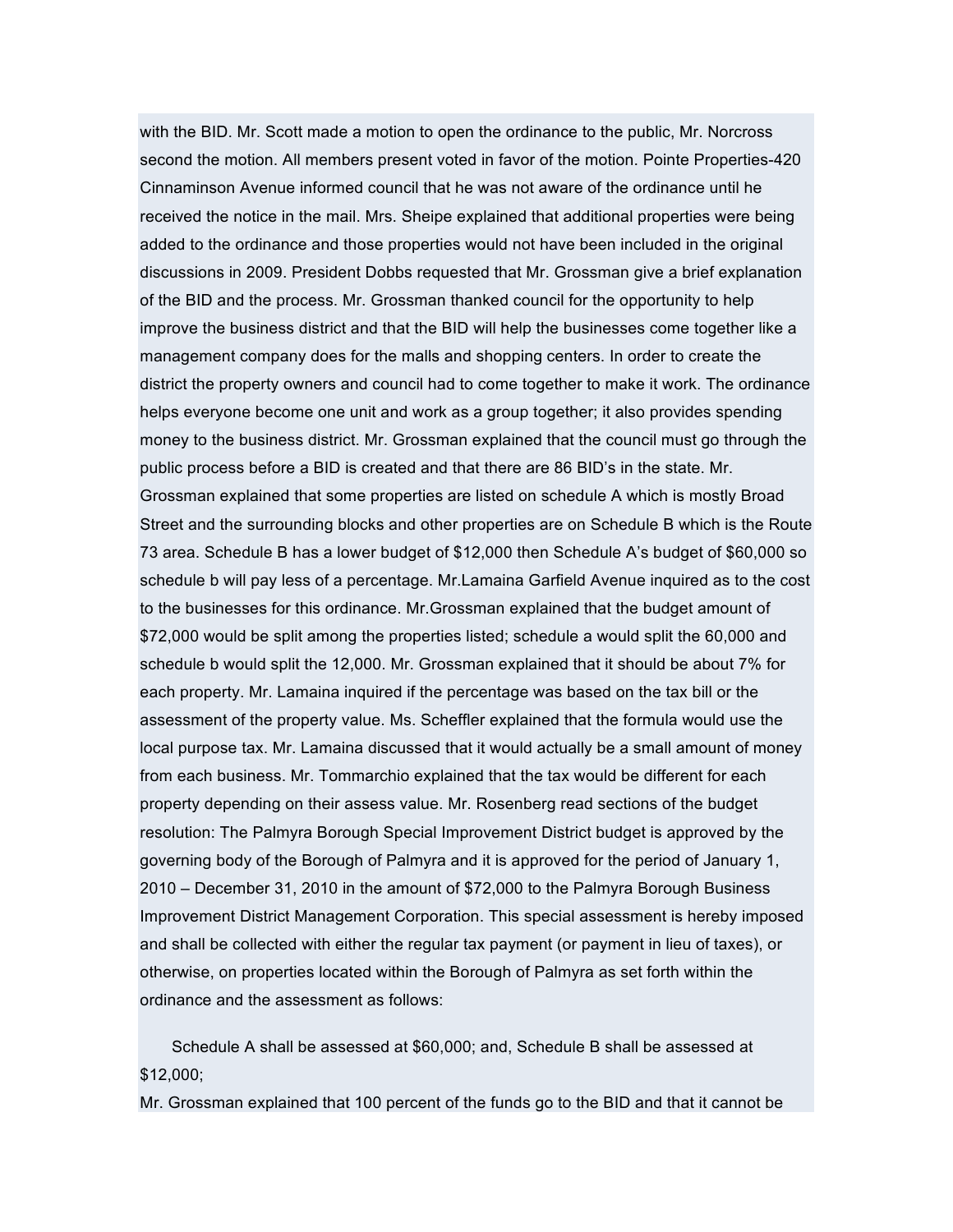with the BID. Mr. Scott made a motion to open the ordinance to the public, Mr. Norcross second the motion. All members present voted in favor of the motion. Pointe Properties-420 Cinnaminson Avenue informed council that he was not aware of the ordinance until he received the notice in the mail. Mrs. Sheipe explained that additional properties were being added to the ordinance and those properties would not have been included in the original discussions in 2009. President Dobbs requested that Mr. Grossman give a brief explanation of the BID and the process. Mr. Grossman thanked council for the opportunity to help improve the business district and that the BID will help the businesses come together like a management company does for the malls and shopping centers. In order to create the district the property owners and council had to come together to make it work. The ordinance helps everyone become one unit and work as a group together; it also provides spending money to the business district. Mr. Grossman explained that the council must go through the public process before a BID is created and that there are 86 BID's in the state. Mr. Grossman explained that some properties are listed on schedule A which is mostly Broad Street and the surrounding blocks and other properties are on Schedule B which is the Route 73 area. Schedule B has a lower budget of \$12,000 then Schedule A's budget of \$60,000 so schedule b will pay less of a percentage. Mr.Lamaina Garfield Avenue inquired as to the cost to the businesses for this ordinance. Mr.Grossman explained that the budget amount of \$72,000 would be split among the properties listed; schedule a would split the 60,000 and schedule b would split the 12,000. Mr. Grossman explained that it should be about 7% for each property. Mr. Lamaina inquired if the percentage was based on the tax bill or the assessment of the property value. Ms. Scheffler explained that the formula would use the local purpose tax. Mr. Lamaina discussed that it would actually be a small amount of money from each business. Mr. Tommarchio explained that the tax would be different for each property depending on their assess value. Mr. Rosenberg read sections of the budget resolution: The Palmyra Borough Special Improvement District budget is approved by the governing body of the Borough of Palmyra and it is approved for the period of January 1, 2010 – December 31, 2010 in the amount of \$72,000 to the Palmyra Borough Business Improvement District Management Corporation. This special assessment is hereby imposed and shall be collected with either the regular tax payment (or payment in lieu of taxes), or otherwise, on properties located within the Borough of Palmyra as set forth within the ordinance and the assessment as follows:

Schedule A shall be assessed at \$60,000; and, Schedule B shall be assessed at \$12,000;

Mr. Grossman explained that 100 percent of the funds go to the BID and that it cannot be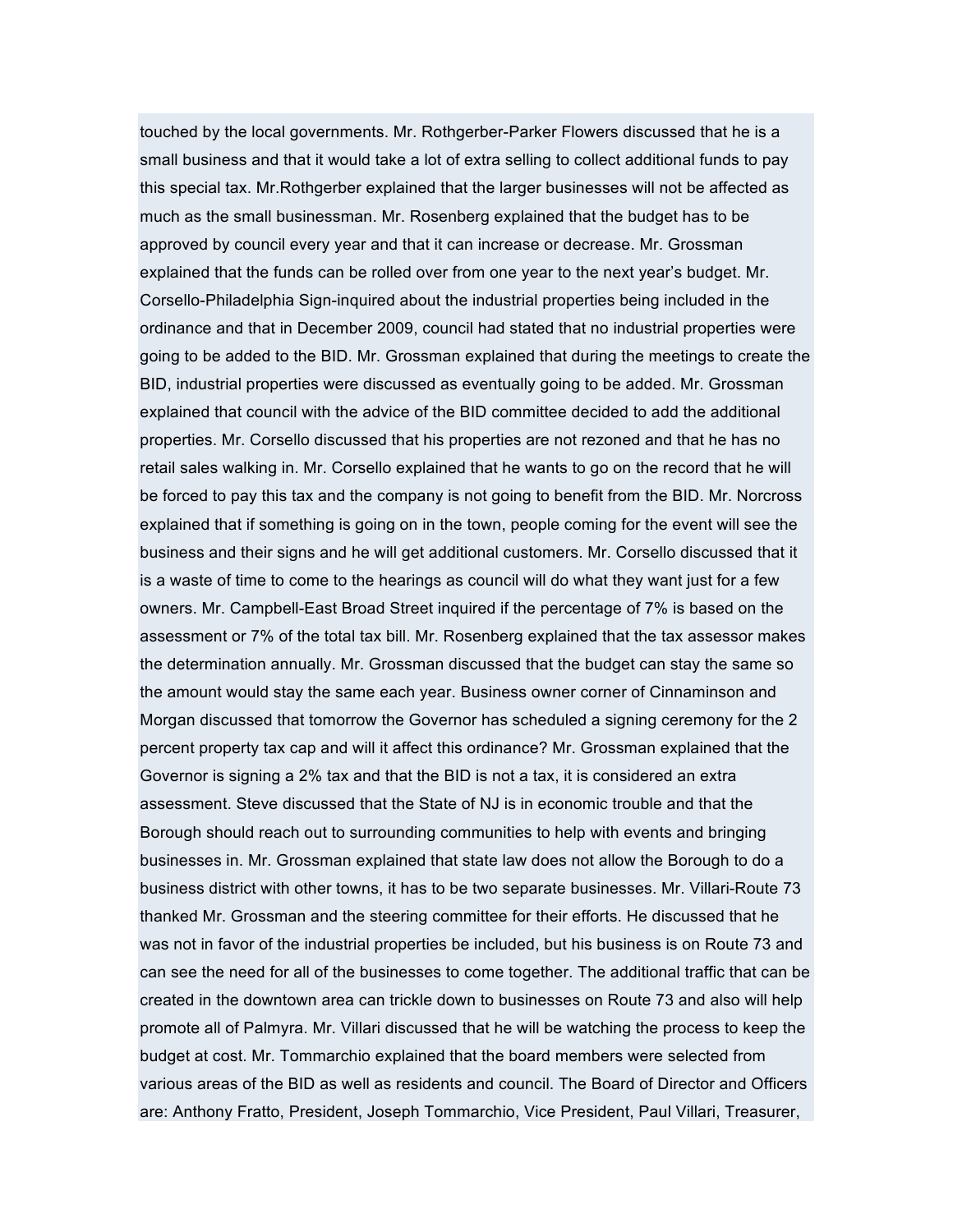touched by the local governments. Mr. Rothgerber-Parker Flowers discussed that he is a small business and that it would take a lot of extra selling to collect additional funds to pay this special tax. Mr.Rothgerber explained that the larger businesses will not be affected as much as the small businessman. Mr. Rosenberg explained that the budget has to be approved by council every year and that it can increase or decrease. Mr. Grossman explained that the funds can be rolled over from one year to the next year's budget. Mr. Corsello-Philadelphia Sign-inquired about the industrial properties being included in the ordinance and that in December 2009, council had stated that no industrial properties were going to be added to the BID. Mr. Grossman explained that during the meetings to create the BID, industrial properties were discussed as eventually going to be added. Mr. Grossman explained that council with the advice of the BID committee decided to add the additional properties. Mr. Corsello discussed that his properties are not rezoned and that he has no retail sales walking in. Mr. Corsello explained that he wants to go on the record that he will be forced to pay this tax and the company is not going to benefit from the BID. Mr. Norcross explained that if something is going on in the town, people coming for the event will see the business and their signs and he will get additional customers. Mr. Corsello discussed that it is a waste of time to come to the hearings as council will do what they want just for a few owners. Mr. Campbell-East Broad Street inquired if the percentage of 7% is based on the assessment or 7% of the total tax bill. Mr. Rosenberg explained that the tax assessor makes the determination annually. Mr. Grossman discussed that the budget can stay the same so the amount would stay the same each year. Business owner corner of Cinnaminson and Morgan discussed that tomorrow the Governor has scheduled a signing ceremony for the 2 percent property tax cap and will it affect this ordinance? Mr. Grossman explained that the Governor is signing a 2% tax and that the BID is not a tax, it is considered an extra assessment. Steve discussed that the State of NJ is in economic trouble and that the Borough should reach out to surrounding communities to help with events and bringing businesses in. Mr. Grossman explained that state law does not allow the Borough to do a business district with other towns, it has to be two separate businesses. Mr. Villari-Route 73 thanked Mr. Grossman and the steering committee for their efforts. He discussed that he was not in favor of the industrial properties be included, but his business is on Route 73 and can see the need for all of the businesses to come together. The additional traffic that can be created in the downtown area can trickle down to businesses on Route 73 and also will help promote all of Palmyra. Mr. Villari discussed that he will be watching the process to keep the budget at cost. Mr. Tommarchio explained that the board members were selected from various areas of the BID as well as residents and council. The Board of Director and Officers are: Anthony Fratto, President, Joseph Tommarchio, Vice President, Paul Villari, Treasurer,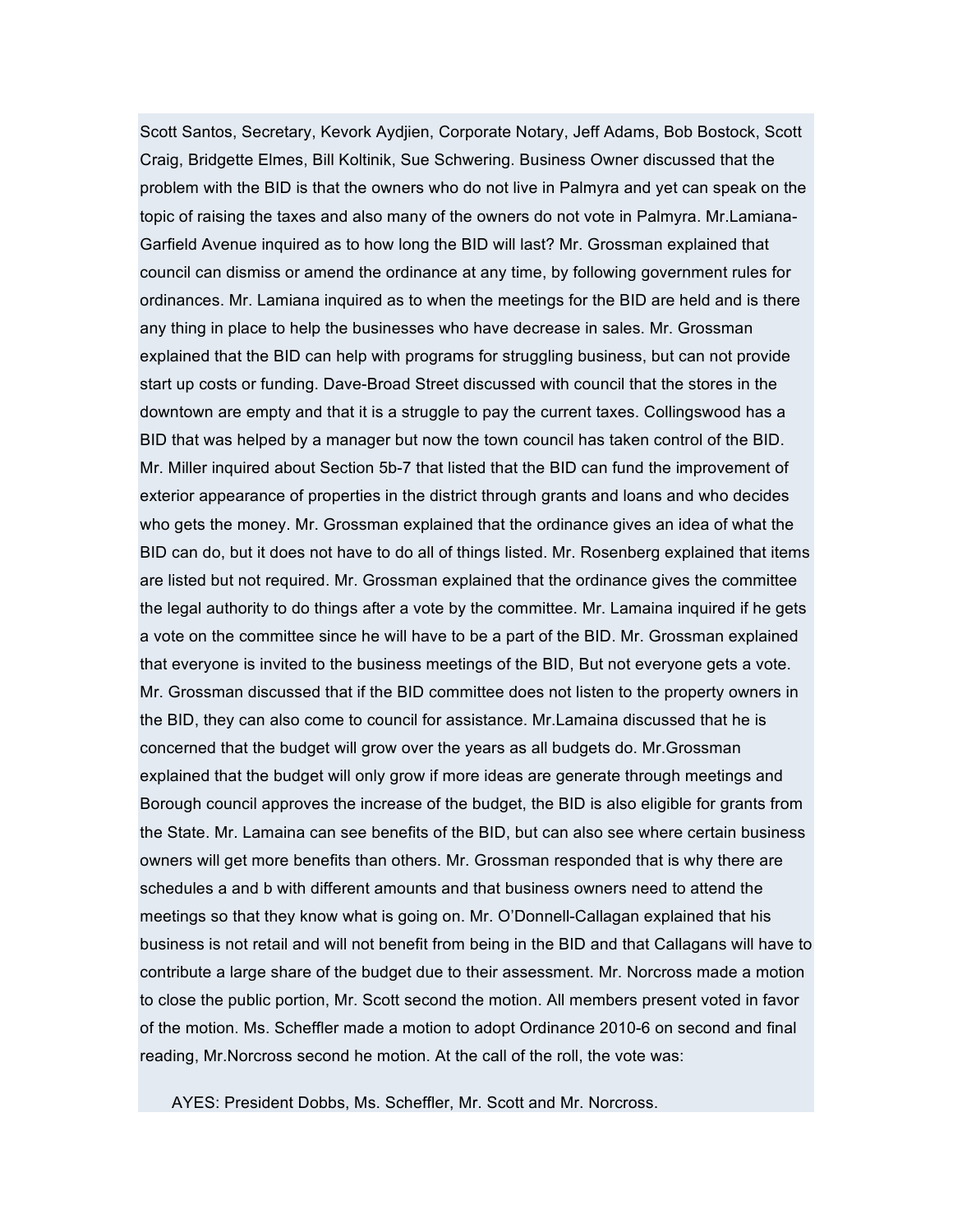Scott Santos, Secretary, Kevork Aydjien, Corporate Notary, Jeff Adams, Bob Bostock, Scott Craig, Bridgette Elmes, Bill Koltinik, Sue Schwering. Business Owner discussed that the problem with the BID is that the owners who do not live in Palmyra and yet can speak on the topic of raising the taxes and also many of the owners do not vote in Palmyra. Mr.Lamiana-Garfield Avenue inquired as to how long the BID will last? Mr. Grossman explained that council can dismiss or amend the ordinance at any time, by following government rules for ordinances. Mr. Lamiana inquired as to when the meetings for the BID are held and is there any thing in place to help the businesses who have decrease in sales. Mr. Grossman explained that the BID can help with programs for struggling business, but can not provide start up costs or funding. Dave-Broad Street discussed with council that the stores in the downtown are empty and that it is a struggle to pay the current taxes. Collingswood has a BID that was helped by a manager but now the town council has taken control of the BID. Mr. Miller inquired about Section 5b-7 that listed that the BID can fund the improvement of exterior appearance of properties in the district through grants and loans and who decides who gets the money. Mr. Grossman explained that the ordinance gives an idea of what the BID can do, but it does not have to do all of things listed. Mr. Rosenberg explained that items are listed but not required. Mr. Grossman explained that the ordinance gives the committee the legal authority to do things after a vote by the committee. Mr. Lamaina inquired if he gets a vote on the committee since he will have to be a part of the BID. Mr. Grossman explained that everyone is invited to the business meetings of the BID, But not everyone gets a vote. Mr. Grossman discussed that if the BID committee does not listen to the property owners in the BID, they can also come to council for assistance. Mr.Lamaina discussed that he is concerned that the budget will grow over the years as all budgets do. Mr.Grossman explained that the budget will only grow if more ideas are generate through meetings and Borough council approves the increase of the budget, the BID is also eligible for grants from the State. Mr. Lamaina can see benefits of the BID, but can also see where certain business owners will get more benefits than others. Mr. Grossman responded that is why there are schedules a and b with different amounts and that business owners need to attend the meetings so that they know what is going on. Mr. O'Donnell-Callagan explained that his business is not retail and will not benefit from being in the BID and that Callagans will have to contribute a large share of the budget due to their assessment. Mr. Norcross made a motion to close the public portion, Mr. Scott second the motion. All members present voted in favor of the motion. Ms. Scheffler made a motion to adopt Ordinance 2010-6 on second and final reading, Mr.Norcross second he motion. At the call of the roll, the vote was:

AYES: President Dobbs, Ms. Scheffler, Mr. Scott and Mr. Norcross.